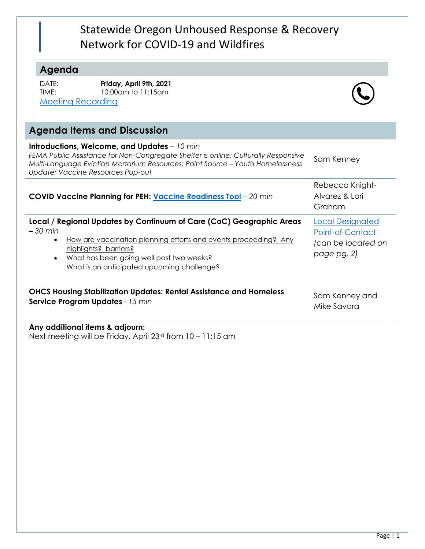## Statewide Oregon Unhoused Response & Recovery Network for COVID-19 and Wildfires

## **Agenda**

DATE: **Friday, April 9th, 2021** TIME: 10:00am to 11:15am [Meeting Recording](https://youtu.be/8GOKC0r89h0)



| Introductions, Welcome, and Updates $-10$ min<br>FEMA Public Assistance for Non-Congregate Shelter is online; Culturally Responsive<br>Multi-Language Eviction Mortarium Resources; Point Source - Youth Homelessness<br>Update; Vaccine Resources Pop-out                                        | Sam Kenney                                                                       |
|---------------------------------------------------------------------------------------------------------------------------------------------------------------------------------------------------------------------------------------------------------------------------------------------------|----------------------------------------------------------------------------------|
| COVID Vaccine Planning for PEH: Vaccine Readiness Tool - 20 min                                                                                                                                                                                                                                   | Rebecca Knight-<br>Alvarez & Lori<br>Graham                                      |
| Local / Regional Updates by Continuum of Care (CoC) Geographic Areas<br>$-30$ min<br>How are vaccination planning efforts and events proceeding? Any<br>$\bullet$<br>highlights? barriers?<br>What has been going well past two weeks?<br>$\bullet$<br>What is an anticipated upcoming challenge? | <b>Local Designated</b><br>Point-of-Contact<br>(can be located on<br>page pg. 2) |
| <b>OHCS Housing Stabilization Updates: Rental Assistance and Homeless</b><br>Service Program Updates-15 min                                                                                                                                                                                       | Sam Kenney and<br>Mike Savara                                                    |

**Any additional items & adjourn:** Next meeting will be Friday, April 23rd from 10 – 11:15 am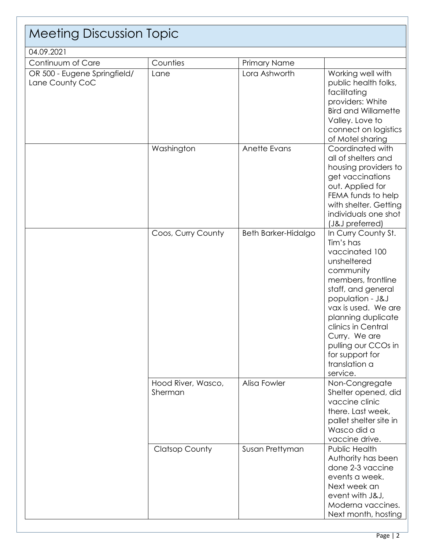| <b>Meeting Discussion Topic</b>                 |                               |                     |                                                                                                                                                                                                                                                                                                           |  |
|-------------------------------------------------|-------------------------------|---------------------|-----------------------------------------------------------------------------------------------------------------------------------------------------------------------------------------------------------------------------------------------------------------------------------------------------------|--|
| 04.09.2021                                      |                               |                     |                                                                                                                                                                                                                                                                                                           |  |
| Continuum of Care                               | Counties                      | Primary Name        |                                                                                                                                                                                                                                                                                                           |  |
| OR 500 - Eugene Springfield/<br>Lane County CoC | Lane                          | Lora Ashworth       | Working well with<br>public health folks,<br>facilitating<br>providers: White<br><b>Bird and Willamette</b><br>Valley. Love to<br>connect on logistics<br>of Motel sharing                                                                                                                                |  |
|                                                 | Washington                    | Anette Evans        | Coordinated with<br>all of shelters and<br>housing providers to<br>get vaccinations<br>out. Applied for<br>FEMA funds to help<br>with shelter. Getting<br>individuals one shot<br>(J&J preferred)                                                                                                         |  |
|                                                 | Coos, Curry County            | Beth Barker-Hidalgo | In Curry County St.<br>Tim's has<br>vaccinated 100<br>unsheltered<br>community<br>members, frontline<br>staff, and general<br>population - J&J<br>vax is used. We are<br>planning duplicate<br>clinics in Central<br>Curry. We are<br>pulling our CCOs in<br>for support for<br>translation a<br>service. |  |
|                                                 | Hood River, Wasco,<br>Sherman | Alisa Fowler        | Non-Congregate<br>Shelter opened, did<br>vaccine clinic<br>there. Last week,<br>pallet shelter site in<br>Wasco did a<br>vaccine drive.                                                                                                                                                                   |  |
|                                                 | <b>Clatsop County</b>         | Susan Prettyman     | Public Health<br>Authority has been<br>done 2-3 vaccine<br>events a week.<br>Next week an<br>event with J&J,<br>Moderna vaccines.<br>Next month, hosting                                                                                                                                                  |  |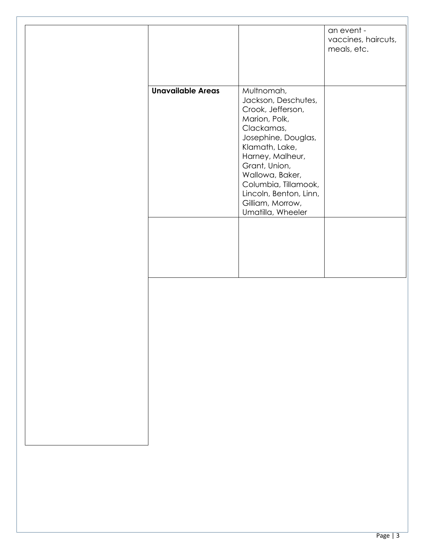|                          |                                                                                                                                                                                                                                                                                   | an event -<br>vaccines, haircuts,<br>meals, etc. |
|--------------------------|-----------------------------------------------------------------------------------------------------------------------------------------------------------------------------------------------------------------------------------------------------------------------------------|--------------------------------------------------|
| <b>Unavailable Areas</b> | Multnomah,<br>Jackson, Deschutes,<br>Crook, Jefferson,<br>Marion, Polk,<br>Clackamas,<br>Josephine, Douglas,<br>Klamath, Lake,<br>Harney, Malheur,<br>Grant, Union,<br>Wallowa, Baker,<br>Columbia, Tillamook,<br>Lincoln, Benton, Linn,<br>Gilliam, Morrow,<br>Umatilla, Wheeler |                                                  |
|                          |                                                                                                                                                                                                                                                                                   |                                                  |
|                          |                                                                                                                                                                                                                                                                                   |                                                  |
|                          |                                                                                                                                                                                                                                                                                   |                                                  |
|                          |                                                                                                                                                                                                                                                                                   |                                                  |